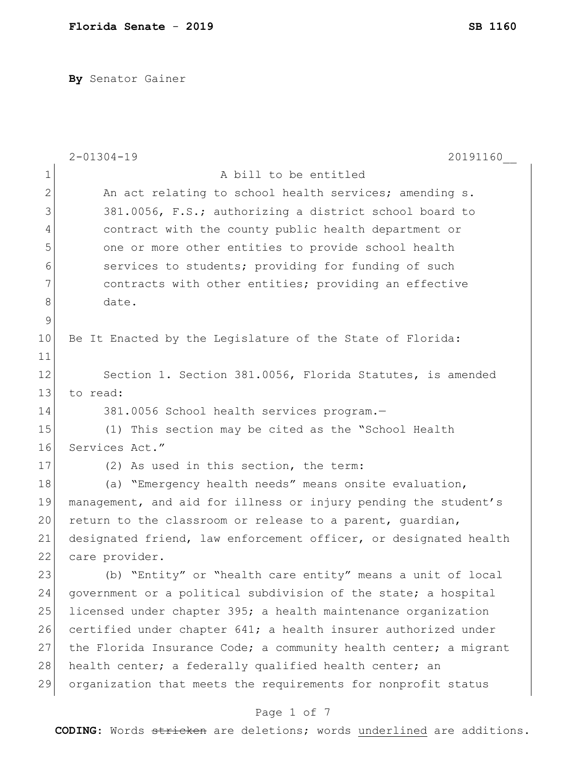**By** Senator Gainer

|               | $2 - 01304 - 19$<br>20191160                                     |
|---------------|------------------------------------------------------------------|
| 1             | A bill to be entitled                                            |
| $\mathbf{2}$  | An act relating to school health services; amending s.           |
| 3             | 381.0056, F.S.; authorizing a district school board to           |
| 4             | contract with the county public health department or             |
| 5             | one or more other entities to provide school health              |
| 6             | services to students; providing for funding of such              |
| 7             | contracts with other entities; providing an effective            |
| 8             | date.                                                            |
| $\mathcal{G}$ |                                                                  |
| 10            | Be It Enacted by the Legislature of the State of Florida:        |
| 11            |                                                                  |
| 12            | Section 1. Section 381.0056, Florida Statutes, is amended        |
| 13            | to read:                                                         |
| 14            | 381.0056 School health services program.-                        |
| 15            | (1) This section may be cited as the "School Health              |
| 16            | Services Act."                                                   |
| 17            | (2) As used in this section, the term:                           |
| 18            | (a) "Emergency health needs" means onsite evaluation,            |
| 19            | management, and aid for illness or injury pending the student's  |
| 20            | return to the classroom or release to a parent, guardian,        |
| 21            | designated friend, law enforcement officer, or designated health |
| 22            | care provider.                                                   |
| 23            | (b) "Entity" or "health care entity" means a unit of local       |
| 24            | government or a political subdivision of the state; a hospital   |
| 25            | licensed under chapter 395; a health maintenance organization    |
| 26            | certified under chapter 641; a health insurer authorized under   |
| 27            | the Florida Insurance Code; a community health center; a migrant |
| 28            | health center; a federally qualified health center; an           |
| 29            | organization that meets the requirements for nonprofit status    |
|               |                                                                  |

### Page 1 of 7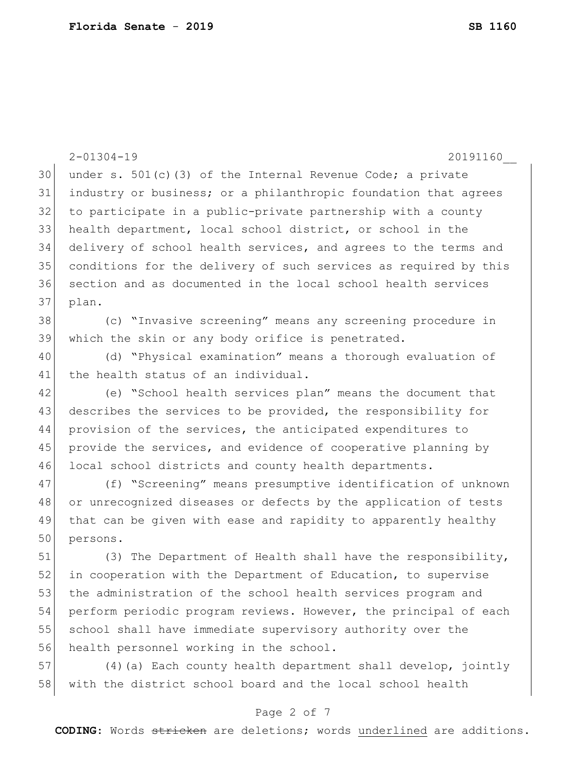|    | $2 - 01304 - 19$<br>20191160                                     |
|----|------------------------------------------------------------------|
| 30 | under s. $501(c)$ (3) of the Internal Revenue Code; a private    |
| 31 | industry or business; or a philanthropic foundation that agrees  |
| 32 | to participate in a public-private partnership with a county     |
| 33 | health department, local school district, or school in the       |
| 34 | delivery of school health services, and agrees to the terms and  |
| 35 | conditions for the delivery of such services as required by this |
| 36 | section and as documented in the local school health services    |
| 37 | plan.                                                            |
| 38 | (c) "Invasive screening" means any screening procedure in        |
| 39 | which the skin or any body orifice is penetrated.                |
| 40 | (d) "Physical examination" means a thorough evaluation of        |
| 41 | the health status of an individual.                              |
| 42 | (e) "School health services plan" means the document that        |
| 43 | describes the services to be provided, the responsibility for    |
| 44 | provision of the services, the anticipated expenditures to       |
| 45 | provide the services, and evidence of cooperative planning by    |
| 46 | local school districts and county health departments.            |
| 47 | (f) "Screening" means presumptive identification of unknown      |
| 48 | or unrecognized diseases or defects by the application of tests  |
| 49 | that can be given with ease and rapidity to apparently healthy   |
| 50 | persons.                                                         |
| 51 | (3) The Department of Health shall have the responsibility,      |
| 52 | in cooperation with the Department of Education, to supervise    |
| 53 | the administration of the school health services program and     |
| 54 | perform periodic program reviews. However, the principal of each |
| 55 | school shall have immediate supervisory authority over the       |
| 56 | health personnel working in the school.                          |
| 57 | (4) (a) Each county health department shall develop, jointly     |
| 58 | with the district school board and the local school health       |

# Page 2 of 7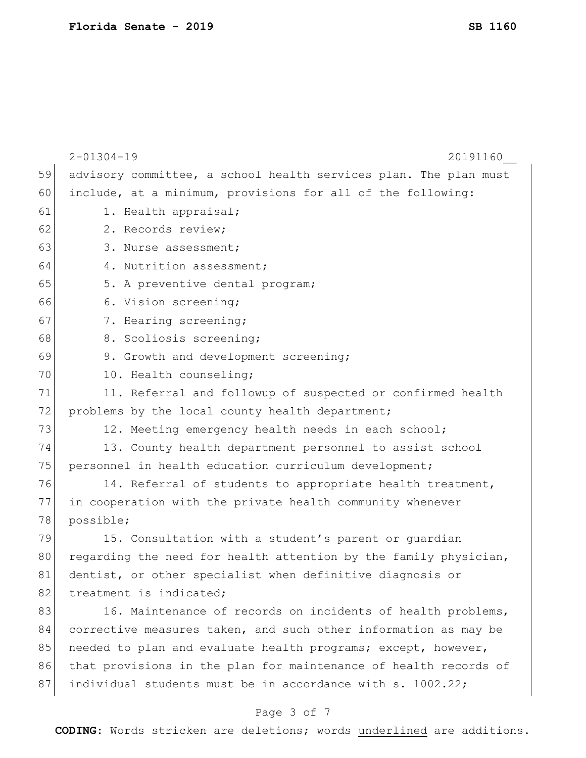|    | $2 - 01304 - 19$<br>20191160                                     |
|----|------------------------------------------------------------------|
| 59 | advisory committee, a school health services plan. The plan must |
| 60 | include, at a minimum, provisions for all of the following:      |
| 61 | 1. Health appraisal;                                             |
| 62 | 2. Records review;                                               |
| 63 | 3. Nurse assessment;                                             |
| 64 | 4. Nutrition assessment;                                         |
| 65 | 5. A preventive dental program;                                  |
| 66 | 6. Vision screening;                                             |
| 67 | 7. Hearing screening;                                            |
| 68 | 8. Scoliosis screening;                                          |
| 69 | 9. Growth and development screening;                             |
| 70 | 10. Health counseling;                                           |
| 71 | 11. Referral and followup of suspected or confirmed health       |
| 72 | problems by the local county health department;                  |
| 73 | 12. Meeting emergency health needs in each school;               |
| 74 | 13. County health department personnel to assist school          |
| 75 | personnel in health education curriculum development;            |
| 76 | 14. Referral of students to appropriate health treatment,        |
| 77 | in cooperation with the private health community whenever        |
| 78 | possible;                                                        |
| 79 | 15. Consultation with a student's parent or quardian             |
| 80 | regarding the need for health attention by the family physician, |
| 81 | dentist, or other specialist when definitive diagnosis or        |
| 82 | treatment is indicated;                                          |
| 83 | 16. Maintenance of records on incidents of health problems,      |
| 84 | corrective measures taken, and such other information as may be  |
| 85 | needed to plan and evaluate health programs; except, however,    |
| 86 | that provisions in the plan for maintenance of health records of |
| 87 | individual students must be in accordance with s. 1002.22;       |
|    |                                                                  |

# Page 3 of 7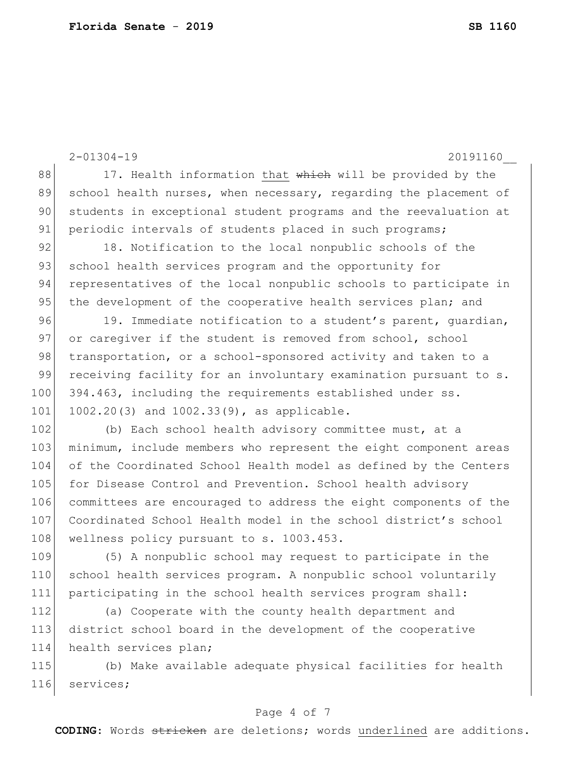2-01304-19 20191160\_\_ 88 17. Health information that which will be provided by the 89 school health nurses, when necessary, regarding the placement of 90 students in exceptional student programs and the reevaluation at 91 periodic intervals of students placed in such programs; 92 18. Notification to the local nonpublic schools of the 93 school health services program and the opportunity for 94 representatives of the local nonpublic schools to participate in 95 the development of the cooperative health services plan; and 96 19. Immediate notification to a student's parent, quardian, 97 or caregiver if the student is removed from school, school 98 transportation, or a school-sponsored activity and taken to a 99 receiving facility for an involuntary examination pursuant to s. 100 394.463, including the requirements established under ss. 101 1002.20(3) and 1002.33(9), as applicable. 102 (b) Each school health advisory committee must, at a 103 minimum, include members who represent the eight component areas 104 of the Coordinated School Health model as defined by the Centers 105 for Disease Control and Prevention. School health advisory 106 committees are encouraged to address the eight components of the 107 Coordinated School Health model in the school district's school 108 wellness policy pursuant to s. 1003.453. 109 (5) A nonpublic school may request to participate in the 110 school health services program. A nonpublic school voluntarily 111 participating in the school health services program shall: 112 (a) Cooperate with the county health department and 113 district school board in the development of the cooperative 114 health services plan;

115 (b) Make available adequate physical facilities for health 116 services;

#### Page 4 of 7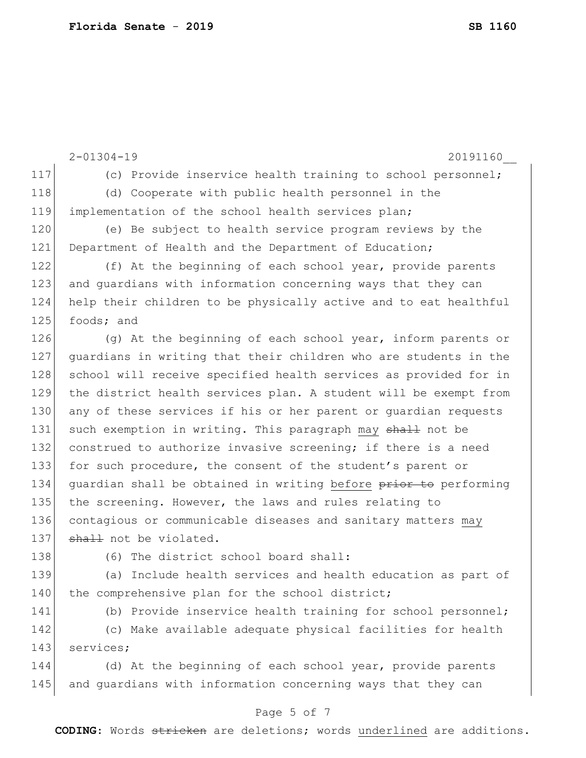|     | $2 - 01304 - 19$<br>20191160                                     |
|-----|------------------------------------------------------------------|
| 117 | (c) Provide inservice health training to school personnel;       |
| 118 | (d) Cooperate with public health personnel in the                |
| 119 | implementation of the school health services plan;               |
| 120 | (e) Be subject to health service program reviews by the          |
| 121 | Department of Health and the Department of Education;            |
| 122 | (f) At the beginning of each school year, provide parents        |
| 123 | and guardians with information concerning ways that they can     |
| 124 | help their children to be physically active and to eat healthful |
| 125 | foods; and                                                       |
| 126 | (q) At the beginning of each school year, inform parents or      |
| 127 | quardians in writing that their children who are students in the |
| 128 | school will receive specified health services as provided for in |
| 129 | the district health services plan. A student will be exempt from |
| 130 | any of these services if his or her parent or quardian requests  |
| 131 | such exemption in writing. This paragraph may shall not be       |
| 132 | construed to authorize invasive screening; if there is a need    |
| 133 | for such procedure, the consent of the student's parent or       |
| 134 | quardian shall be obtained in writing before prior to performing |
| 135 | the screening. However, the laws and rules relating to           |
| 136 | contagious or communicable diseases and sanitary matters may     |
| 137 | shall not be violated.                                           |
| 138 | (6) The district school board shall:                             |
| 139 | (a) Include health services and health education as part of      |
| 140 | the comprehensive plan for the school district;                  |
| 141 | (b) Provide inservice health training for school personnel;      |
| 142 | (c) Make available adequate physical facilities for health       |
| 143 | services;                                                        |
| 144 | (d) At the beginning of each school year, provide parents        |

### Page 5 of 7

145 and guardians with information concerning ways that they can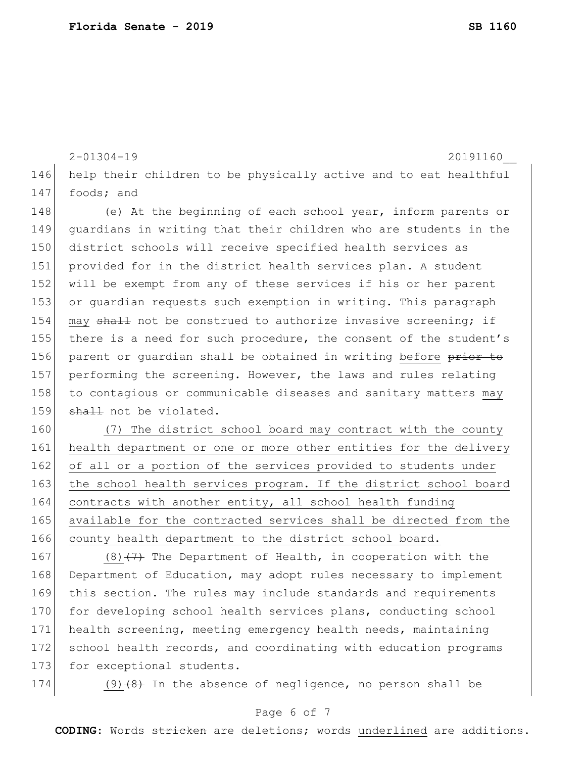```
2-01304-19 20191160__
146 help their children to be physically active and to eat healthful 
147 foods; and
148 (e) At the beginning of each school year, inform parents or
149 guardians in writing that their children who are students in the 
150 district schools will receive specified health services as 
151 provided for in the district health services plan. A student 
152 will be exempt from any of these services if his or her parent 
153 or guardian requests such exemption in writing. This paragraph 
154 may shall not be construed to authorize invasive screening; if
155 there is a need for such procedure, the consent of the student's
156 parent or quardian shall be obtained in writing before prior to
```
157 performing the screening. However, the laws and rules relating 158 to contagious or communicable diseases and sanitary matters may 159 shall not be violated.

160 (7) The district school board may contract with the county 161 health department or one or more other entities for the delivery 162 of all or a portion of the services provided to students under 163 the school health services program. If the district school board 164 contracts with another entity, all school health funding 165 available for the contracted services shall be directed from the 166 county health department to the district school board.

167 (8) $(7)$  The Department of Health, in cooperation with the 168 Department of Education, may adopt rules necessary to implement 169 this section. The rules may include standards and requirements 170 for developing school health services plans, conducting school 171 health screening, meeting emergency health needs, maintaining 172 school health records, and coordinating with education programs 173 for exceptional students.

174 (9) $(8)$  In the absence of negligence, no person shall be

#### Page 6 of 7